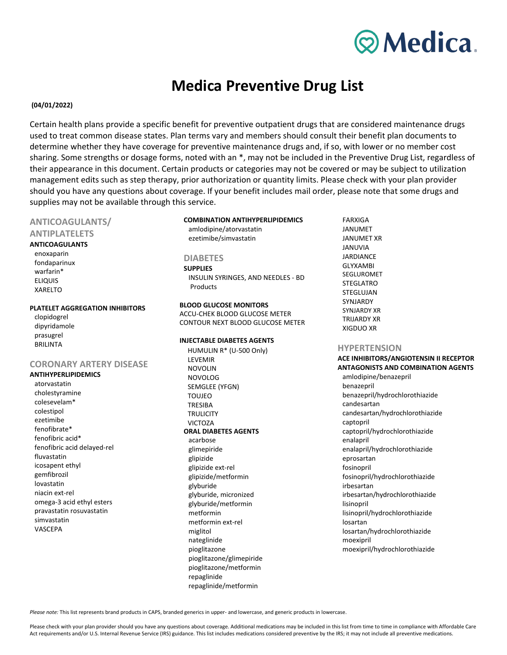

# **Medica Preventive Drug List**

## $(04/01/2022)$

Certain health plans provide a specific benefit for preventive outpatient drugs that are considered maintenance drugs used to treat common disease states. Plan terms vary and members should consult their benefit plan documents to determine whether they have coverage for preventive maintenance drugs and, if so, with lower or no member cost sharing. Some strengths or dosage forms, noted with an \*, may not be included in the Preventive Drug List, regardless of their appearance in this document. Certain products or categories may not be covered or may be subject to utilization management edits such as step therapy, prior authorization or quantity limits. Please check with your plan provider should you have any questions about coverage. If your benefit includes mail order, please note that some drugs and supplies may not be available through this service.

# ANTICOAGULANTS/

## **ANTIPLATELETS**

# **ANTICOAGULANTS**

enoxaparin fondaparinux warfarin\* **ELIQUIS XARFITO** 

#### PLATELET AGGREGATION INHIBITORS

| clopidogrel  |
|--------------|
| dipyridamole |
| prasugrel    |
| BRII INTA    |

## **CORONARY ARTERY DISEASE**

## **ANTIHYPERLIPIDEMICS**

atorvastatin cholestyramine colesevelam\* colestipol ezetimibe fenofibrate\* fenofibric acid\* fenofibric acid delayed-rel fluvastatin icosapent ethyl gemfibrozil lovastatin niacin ext-rel omega-3 acid ethyl esters pravastatin rosuvastatin simvastatin **VASCEPA** 

## **COMBINATION ANTIHYPERLIPIDEMICS**

amlodipine/atorvastatin ezetimibe/simvastatin

#### **DIABETES**

**SUPPLIES** INSULIN SYRINGES, AND NEEDLES - BD Products

**BLOOD GLUCOSE MONITORS** ACCU-CHEK BLOOD GLUCOSE METER CONTOUR NEXT BLOOD GLUCOSE METER

#### **INJECTABLE DIABETES AGENTS**

HUMULIN R\* (U-500 Only) LEVEMIR **NOVOLIN NOVOLOG** SEMGLEE (YFGN) **TOUJEO TRESIBA TRULICITY** VICTOZA **ORAL DIABETES AGENTS** acarbose glimepiride glipizide glipizide ext-rel glipizide/metformin glyburide glyburide, micronized glyburide/metformin metformin metformin ext-rel miglitol nateglinide pioglitazone pioglitazone/glimepiride pioglitazone/metformin repaglinide repaglinide/metformin

**FARXIGA JANUMET JANUMET XR JANUVIA** JARDIANCE **GLYXAMBI SEGLUROMET STEGLATRO** STEGLUJAN **SYNIARDY SYNJARDY XR TRIJARDY XR XIGDUO XR** 

#### **HYPERTENSION**

**ACE INHIBITORS/ANGIOTENSIN II RECEPTOR ANTAGONISTS AND COMBINATION AGENTS** amlodipine/benazepril benazepril benazepril/hydrochlorothiazide candesartan candesartan/hydrochlorothiazide captopril captopril/hydrochlorothiazide enalapril enalapril/hydrochlorothiazide eprosartan fosinopril fosinopril/hydrochlorothiazide irbesartan irbesartan/hydrochlorothiazide lisinopril lisinopril/hydrochlorothiazide losartan losartan/hydrochlorothiazide moexipril moexipril/hydrochlorothiazide

Please note: This list represents brand products in CAPS, branded generics in upper- and lowercase, and generic products in lowercase.

Please check with your plan provider should you have any questions about coverage. Additional medications may be included in this list from time to time in compliance with Affordable Care Act requirements and/or U.S. Internal Revenue Service (IRS) guidance. This list includes medications considered preventive by the IRS; it may not include all preventive medications.